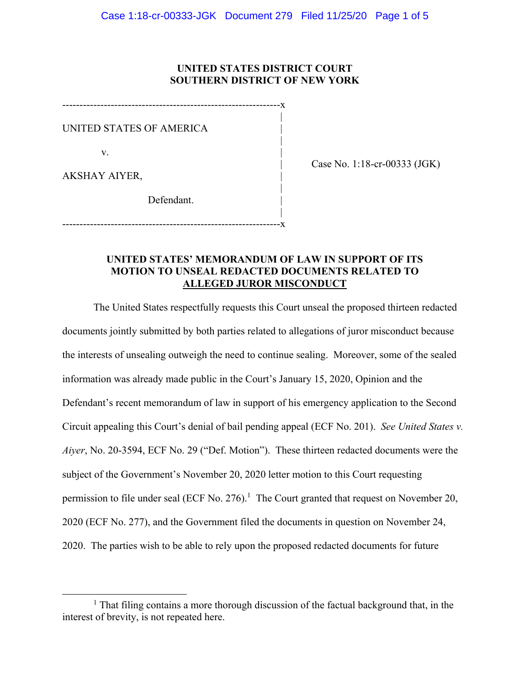## **UNITED STATES DISTRICT COURT SOUTHERN DISTRICT OF NEW YORK**

---------------------------------------------------------------x |

|

UNITED STATES OF AMERICA |

v.

| Case No. 1:18-cr-00333 (JGK)

AKSHAY AIYER, |

 | Defendant.

 | ---------------------------------------------------------------x

# **UNITED STATES' MEMORANDUM OF LAW IN SUPPORT OF ITS MOTION TO UNSEAL REDACTED DOCUMENTS RELATED TO ALLEGED JUROR MISCONDUCT**

The United States respectfully requests this Court unseal the proposed thirteen redacted documents jointly submitted by both parties related to allegations of juror misconduct because the interests of unsealing outweigh the need to continue sealing. Moreover, some of the sealed information was already made public in the Court's January 15, 2020, Opinion and the Defendant's recent memorandum of law in support of his emergency application to the Second Circuit appealing this Court's denial of bail pending appeal (ECF No. 201). *See United States v. Aiyer*, No. 20-3594, ECF No. 29 ("Def. Motion"). These thirteen redacted documents were the subject of the Government's November 20, 2020 letter motion to this Court requesting permission to file under seal (ECF No. 276).<sup>1</sup> The Court granted that request on November 20, 2020 (ECF No. 277), and the Government filed the documents in question on November 24, 2020. The parties wish to be able to rely upon the proposed redacted documents for future

<sup>&</sup>lt;u>1</u>  $<sup>1</sup>$  That filing contains a more thorough discussion of the factual background that, in the</sup> interest of brevity, is not repeated here.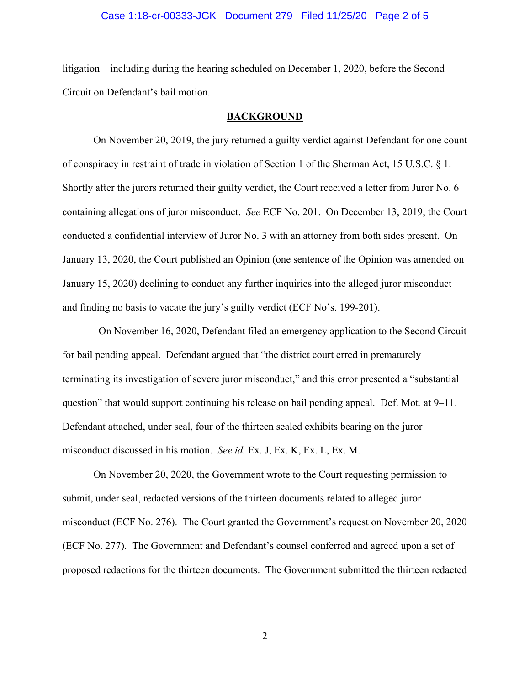## Case 1:18-cr-00333-JGK Document 279 Filed 11/25/20 Page 2 of 5

litigation—including during the hearing scheduled on December 1, 2020, before the Second Circuit on Defendant's bail motion.

#### **BACKGROUND**

On November 20, 2019, the jury returned a guilty verdict against Defendant for one count of conspiracy in restraint of trade in violation of Section 1 of the Sherman Act, 15 U.S.C. § 1. Shortly after the jurors returned their guilty verdict, the Court received a letter from Juror No. 6 containing allegations of juror misconduct. *See* ECF No. 201. On December 13, 2019, the Court conducted a confidential interview of Juror No. 3 with an attorney from both sides present. On January 13, 2020, the Court published an Opinion (one sentence of the Opinion was amended on January 15, 2020) declining to conduct any further inquiries into the alleged juror misconduct and finding no basis to vacate the jury's guilty verdict (ECF No's. 199-201).

 On November 16, 2020, Defendant filed an emergency application to the Second Circuit for bail pending appeal. Defendant argued that "the district court erred in prematurely terminating its investigation of severe juror misconduct," and this error presented a "substantial question" that would support continuing his release on bail pending appeal. Def. Mot*.* at 9–11. Defendant attached, under seal, four of the thirteen sealed exhibits bearing on the juror misconduct discussed in his motion. *See id.* Ex. J, Ex. K, Ex. L, Ex. M.

On November 20, 2020, the Government wrote to the Court requesting permission to submit, under seal, redacted versions of the thirteen documents related to alleged juror misconduct (ECF No. 276). The Court granted the Government's request on November 20, 2020 (ECF No. 277). The Government and Defendant's counsel conferred and agreed upon a set of proposed redactions for the thirteen documents. The Government submitted the thirteen redacted

2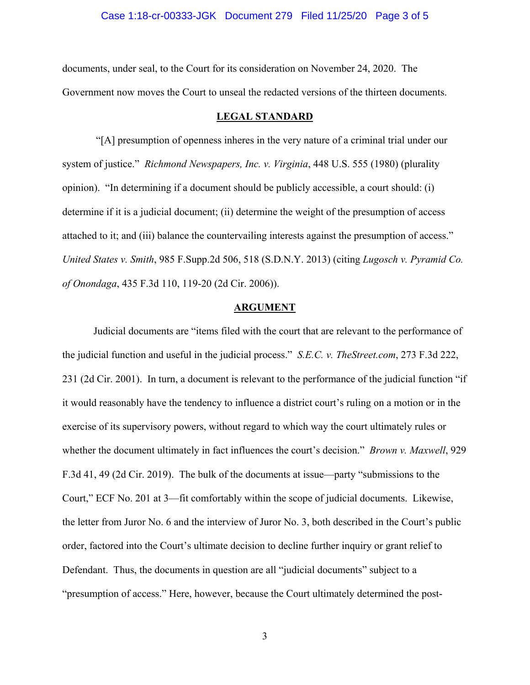### Case 1:18-cr-00333-JGK Document 279 Filed 11/25/20 Page 3 of 5

documents, under seal, to the Court for its consideration on November 24, 2020. The Government now moves the Court to unseal the redacted versions of the thirteen documents.

#### **LEGAL STANDARD**

 "[A] presumption of openness inheres in the very nature of a criminal trial under our system of justice." *Richmond Newspapers, Inc. v. Virginia*, 448 U.S. 555 (1980) (plurality opinion). "In determining if a document should be publicly accessible, a court should: (i) determine if it is a judicial document; (ii) determine the weight of the presumption of access attached to it; and (iii) balance the countervailing interests against the presumption of access." *United States v. Smith*, 985 F.Supp.2d 506, 518 (S.D.N.Y. 2013) (citing *Lugosch v. Pyramid Co. of Onondaga*, 435 F.3d 110, 119-20 (2d Cir. 2006)).

#### **ARGUMENT**

Judicial documents are "items filed with the court that are relevant to the performance of the judicial function and useful in the judicial process." *S.E.C. v. TheStreet.com*, 273 F.3d 222, 231 (2d Cir. 2001). In turn, a document is relevant to the performance of the judicial function "if it would reasonably have the tendency to influence a district court's ruling on a motion or in the exercise of its supervisory powers, without regard to which way the court ultimately rules or whether the document ultimately in fact influences the court's decision." *Brown v. Maxwell*, 929 F.3d 41, 49 (2d Cir. 2019). The bulk of the documents at issue—party "submissions to the Court," ECF No. 201 at 3—fit comfortably within the scope of judicial documents. Likewise, the letter from Juror No. 6 and the interview of Juror No. 3, both described in the Court's public order, factored into the Court's ultimate decision to decline further inquiry or grant relief to Defendant. Thus, the documents in question are all "judicial documents" subject to a "presumption of access." Here, however, because the Court ultimately determined the post-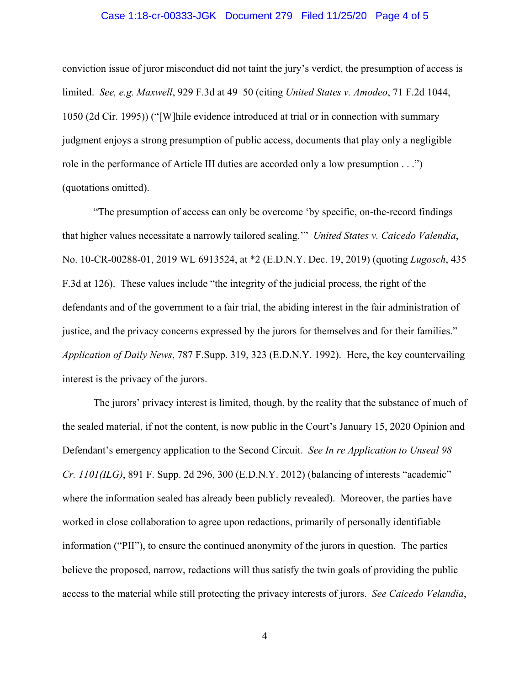## Case 1:18-cr-00333-JGK Document 279 Filed 11/25/20 Page 4 of 5

conviction issue of juror misconduct did not taint the jury's verdict, the presumption of access is limited. *See, e.g. Maxwell*, 929 F.3d at 49–50 (citing *United States v. Amodeo*, 71 F.2d 1044, 1050 (2d Cir. 1995)) ("[W]hile evidence introduced at trial or in connection with summary judgment enjoys a strong presumption of public access, documents that play only a negligible role in the performance of Article III duties are accorded only a low presumption . . .") (quotations omitted).

"The presumption of access can only be overcome 'by specific, on-the-record findings that higher values necessitate a narrowly tailored sealing.'" *United States v. Caicedo Valendia*, No. 10-CR-00288-01, 2019 WL 6913524, at \*2 (E.D.N.Y. Dec. 19, 2019) (quoting *Lugosch*, 435 F.3d at 126). These values include "the integrity of the judicial process, the right of the defendants and of the government to a fair trial, the abiding interest in the fair administration of justice, and the privacy concerns expressed by the jurors for themselves and for their families." *Application of Daily News*, 787 F.Supp. 319, 323 (E.D.N.Y. 1992). Here, the key countervailing interest is the privacy of the jurors.

The jurors' privacy interest is limited, though, by the reality that the substance of much of the sealed material, if not the content, is now public in the Court's January 15, 2020 Opinion and Defendant's emergency application to the Second Circuit. *See In re Application to Unseal 98 Cr. 1101(ILG)*, 891 F. Supp. 2d 296, 300 (E.D.N.Y. 2012) (balancing of interests "academic" where the information sealed has already been publicly revealed). Moreover, the parties have worked in close collaboration to agree upon redactions, primarily of personally identifiable information ("PII"), to ensure the continued anonymity of the jurors in question. The parties believe the proposed, narrow, redactions will thus satisfy the twin goals of providing the public access to the material while still protecting the privacy interests of jurors. *See Caicedo Velandia*,

4